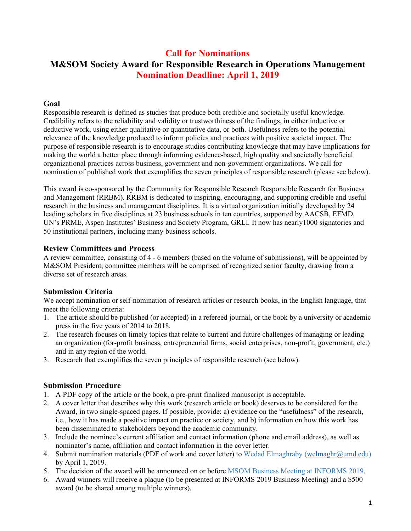# **Call for Nominations M&SOM Society Award for Responsible Research in Operations Management Nomination Deadline: April 1, 2019**

#### **Goal**

Responsible research is defined as studies that produce both credible and societally useful knowledge. Credibility refers to the reliability and validity or trustworthiness of the findings, in either inductive or deductive work, using either qualitative or quantitative data, or both. Usefulness refers to the potential relevance of the knowledge produced to inform policies and practices with positive societal impact. The purpose of responsible research is to encourage studies contributing knowledge that may have implications for making the world a better place through informing evidence-based, high quality and societally beneficial organizational practices across business, government and non-government organizations. We call for nomination of published work that exemplifies the seven principles of responsible research (please see below).

This award is co-sponsored by the Community for Responsible Research Responsible Research for Business and Management (RRBM). RRBM is dedicated to inspiring, encouraging, and supporting credible and useful research in the business and management disciplines. It is a virtual organization initially developed by 24 leading scholars in five disciplines at 23 business schools in ten countries, supported by AACSB, EFMD, UN's PRME, Aspen Institutes' Business and Society Program, GRLI. It now has nearly1000 signatories and 50 institutional partners, including many business schools.

#### **Review Committees and Process**

A review committee, consisting of 4 - 6 members (based on the volume of submissions), will be appointed by M&SOM President; committee members will be comprised of recognized senior faculty, drawing from a diverse set of research areas.

## **Submission Criteria**

We accept nomination or self-nomination of research articles or research books, in the English language, that meet the following criteria:

- 1. The article should be published (or accepted) in a refereed journal, or the book by a university or academic press in the five years of 2014 to 2018.
- 2. The research focuses on timely topics that relate to current and future challenges of managing or leading an organization (for-profit business, entrepreneurial firms, social enterprises, non-profit, government, etc.) and in any region of the world.
- 3. Research that exemplifies the seven principles of responsible research (see below).

## **Submission Procedure**

- 1. A PDF copy of the article or the book, a pre-print finalized manuscript is acceptable.
- 2. A cover letter that describes why this work (research article or book) deserves to be considered for the Award, in two single-spaced pages. If possible, provide: a) evidence on the "usefulness" of the research, i.e., how it has made a positive impact on practice or society, and b) information on how this work has been disseminated to stakeholders beyond the academic community.
- 3. Include the nominee's current affiliation and contact information (phone and email address), as well as nominator's name, affiliation and contact information in the cover letter.
- 4. Submit nomination materials (PDF of work and cover letter) to Wedad Elmaghraby (welmaghr@umd.edu) by April 1, 2019.
- 5. The decision of the award will be announced on or before MSOM Business Meeting at INFORMS 2019.
- 6. Award winners will receive a plaque (to be presented at INFORMS 2019 Business Meeting) and a \$500 award (to be shared among multiple winners).